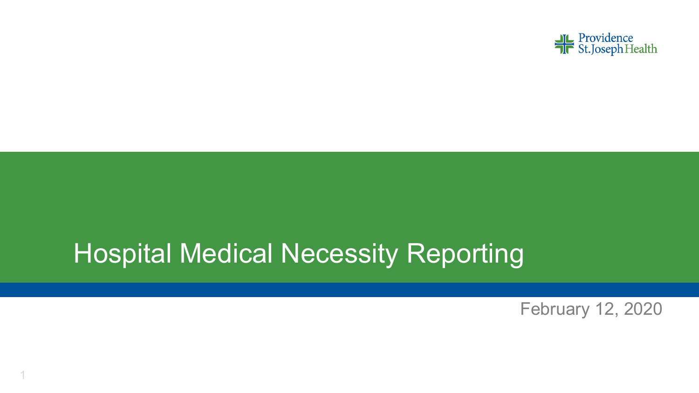

## Hospital Medical Necessity Reporting

1

February 12, 2020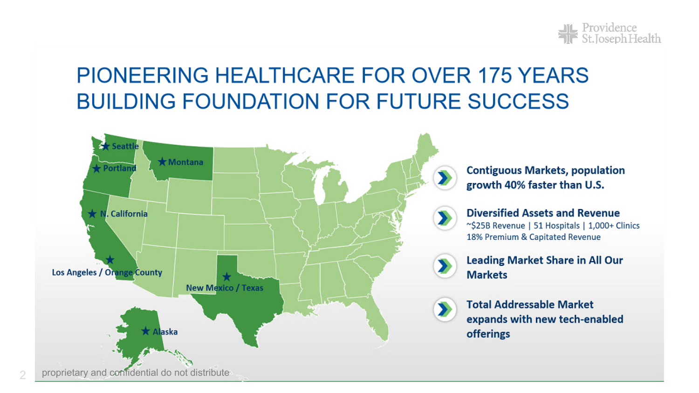

### PIONEERING HEALTHCARE FOR OVER 175 YEARS **BUILDING FOUNDATION FOR FUTURE SUCCESS**

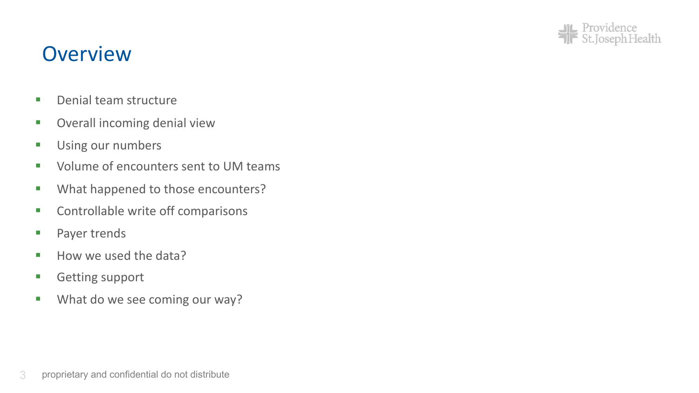

#### **Overview**

- Denial team structure
- Overall incoming denial view
- **■** Using our numbers
- Volume of encounters sent to UM teams
- **■** What happened to those encounters?
- Controllable write off comparisons
- Payer trends
- How we used the data?
- **Getting support**
- **■** What do we see coming our way?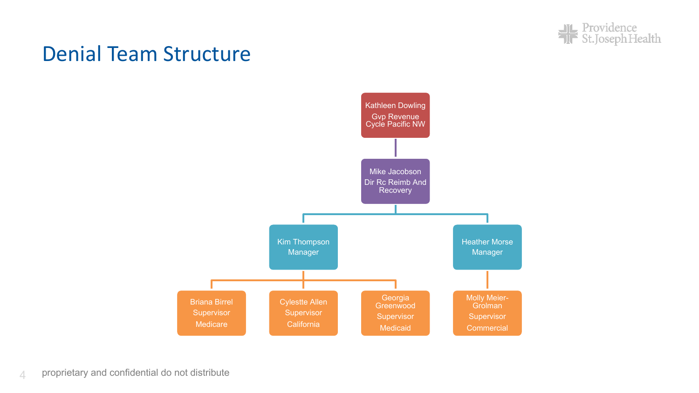

#### Denial Team Structure

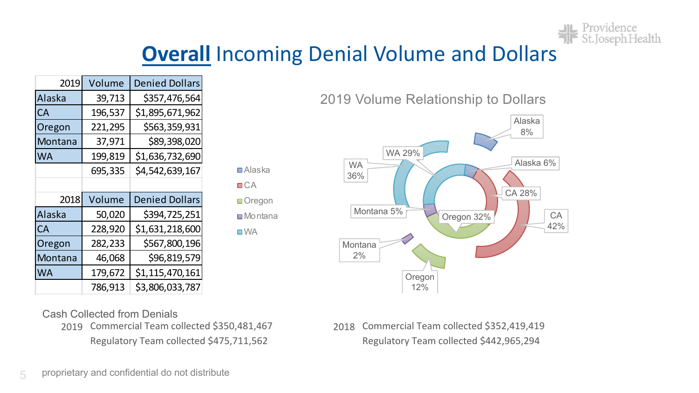

#### **Overall** Incoming Denial Volume and Dollars

| 2019    | Volume  | <b>Denied Dollars</b> |
|---------|---------|-----------------------|
| Alaska  | 39,713  | \$357,476,564         |
| CA      | 196,537 | \$1,895,671,962       |
| Oregon  | 221,295 | \$563,359,931         |
| Montana | 37,971  | \$89,398,020          |
| WA      | 199,819 | \$1,636,732,690       |
|         | 695,335 | \$4,542,639,167       |
|         |         |                       |
|         |         |                       |
| 2018    | Volume  | <b>Denied Dollars</b> |
| Alaska  | 50,020  | \$394,725,251         |
| CA      | 228,920 | \$1,631,218,600       |
| Oregon  | 282,233 | \$567,800,196         |
| Montana | 46,068  | \$96,819,579          |
| WA      | 179,672 | \$1,115,470,161       |

2019 Volume Relationship to Dollars



Cash Collected from Denials

2019 Commercial Team collected \$350,481,467 2018 Commercial Team collected \$352,419,419

Alaska  $C A$ **Oregon Montana ■WA** 

Regulatory Team collected \$475,711,562 Regulatory Team collected \$442,965,294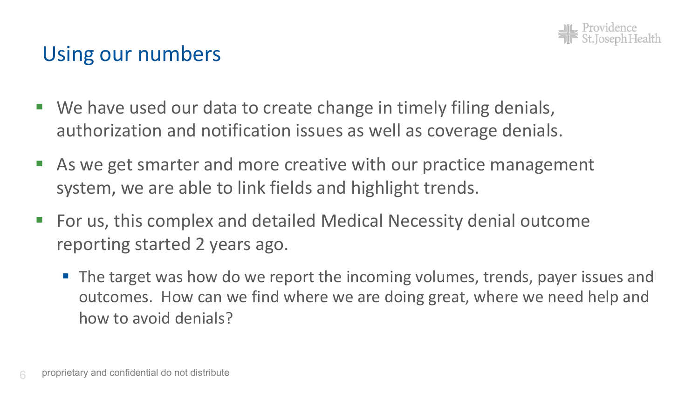

#### Using our numbers

- We have used our data to create change in timely filing denials, authorization and notification issues as well as coverage denials.
- As we get smarter and more creative with our practice management system, we are able to link fields and highlight trends.
- § For us, this complex and detailed Medical Necessity denial outcome reporting started 2 years ago.
	- The target was how do we report the incoming volumes, trends, payer issues and outcomes. How can we find where we are doing great, where we need help and how to avoid denials?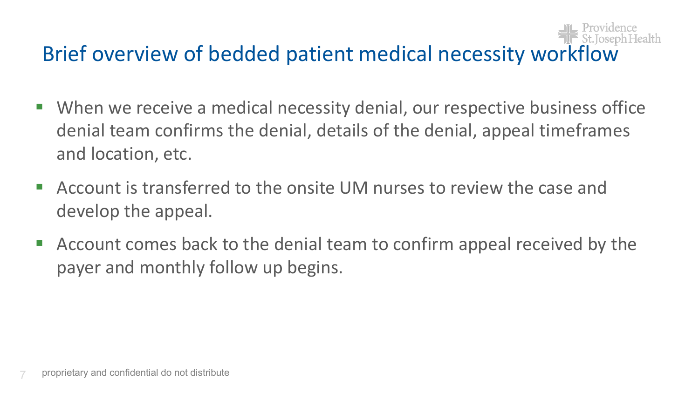## Brief overview of bedded patient medical necessity workflow

- When we receive a medical necessity denial, our respective business office denial team confirms the denial, details of the denial, appeal timeframes and location, etc.
- § Account is transferred to the onsite UM nurses to review the case and develop the appeal.
- § Account comes back to the denial team to confirm appeal received by the payer and monthly follow up begins.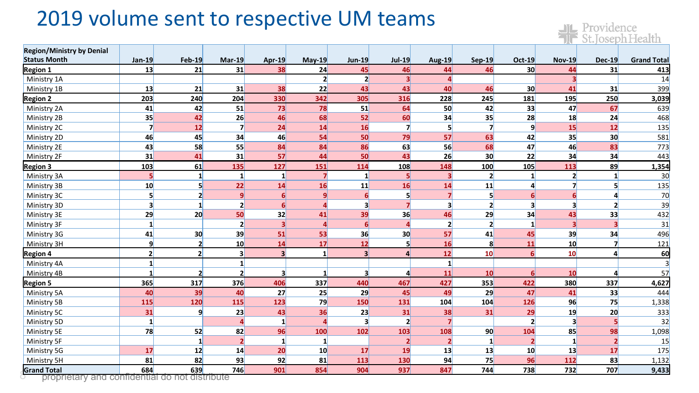#### 2019 volume sent to respective UM teams

| <b>Region/Ministry by Denial</b>                                     |                         |                 |                         |                         |                    |                         |                 |                         |                 |                                  |                |                         |                    |
|----------------------------------------------------------------------|-------------------------|-----------------|-------------------------|-------------------------|--------------------|-------------------------|-----------------|-------------------------|-----------------|----------------------------------|----------------|-------------------------|--------------------|
| <b>Status Month</b>                                                  | Jan 19                  | <b>Feb 19</b>   | <b>Mar-19</b>           | Apr 19                  | $May-19$           | Jun-19                  | <b>Jul 19</b>   | <b>Aug 19</b>           | Sep 19          | <b>Oct 19</b><br>30 <sup>1</sup> | <b>Nov-19</b>  | <b>Dec-19</b>           | <b>Grand Total</b> |
| <b>Region 1</b>                                                      | 13                      | 21              | 31                      | 38                      | 24<br>$\mathbf{z}$ | 45<br>$\mathbf{2}$      | 46<br>$\vert$ 3 | 44<br>$\Delta$          | 46              |                                  | 44             | 31                      | 413                |
| Ministry 1A                                                          |                         |                 |                         |                         |                    |                         |                 |                         |                 |                                  |                |                         | 14                 |
| Ministry 1B                                                          | 13                      | 21              | 31                      | 38                      | 22                 | 43                      | 43              | 40                      | 46              | 30 <sup>°</sup>                  | 41             | 31                      | 399                |
| <b>Region 2</b>                                                      | 203                     | 240             | 204                     | 330                     | 342                | 305                     | 316             | 228                     | 245             | 181                              | 195            | 250                     | 3,039              |
| Ministry 2A                                                          | 41                      | 42              | 51                      | 73                      | 78                 | 51                      | 64              | 50                      | 42              | 33                               | 47             | 67                      | 639                |
| Ministry 2B                                                          | 35                      | 42              | 26                      | 46                      | 68                 | 52                      | 60              | 34                      | 35 <sup>1</sup> | 28                               | 18             | 24                      | 468                |
| Ministry 2C                                                          | $\overline{7}$          | 12              | $\overline{7}$          | 24                      | 14                 | 16                      | $\overline{7}$  | 5                       |                 | 9                                | 15             | 12                      | 135                |
| Ministry 2D                                                          | 46                      | 45              | 34                      | 46                      | 54                 | 50                      | 79              | 57                      | 63              | 42                               | 35             | 30                      | 581                |
| Ministry 2E                                                          | 43                      | 58              | 55                      | 84                      | 84                 | 86                      | 63              | 56                      | 68              | 47                               | 46             | 83                      | 773                |
| Ministry 2F                                                          | 31                      | 41              | 31                      | 57                      | 44                 | 50                      | 43              | 26                      | 30 <sup>°</sup> | 22                               | 34             | 34                      | 443                |
| Region 3                                                             | 103                     | 61              | 135                     | 127                     | <b>151</b>         | 114                     | 108             | 148                     | 100             | 105                              | 113            | 89                      | 1,354              |
| Ministry 3A                                                          | $\overline{\mathbf{5}}$ | $\mathbf{1}$    | $\mathbf{1}$            | $\mathbf{1}$            | $\overline{z}$     | $\mathbf{1}$            | 5 <sup>1</sup>  | $\overline{\mathbf{3}}$ | $\mathbf{z}$    | $1\overline{ }$                  | 2 <sup>1</sup> | $\mathbf{1}$            | 30                 |
| Ministry 3B                                                          | 10                      | 5               | 22                      | 14                      | 16                 | 11                      | 16              | 14                      | 11              | Δ                                |                | 5                       | 135                |
| Ministry 3C                                                          | 5                       | $\overline{2}$  | $\vert$                 | 61                      | 9                  |                         | 5               |                         | 5               | ĥ                                |                | $\mathbf{a}$            | 70                 |
| Ministry 3D                                                          | 3                       | $\mathbf{1}$    | $\mathbf{2}$            | 6                       | Δ                  |                         |                 | 3                       | $\overline{2}$  | $\overline{\mathbf{3}}$          |                | $\overline{\mathbf{z}}$ | 39                 |
| Ministry 3E                                                          | 29                      | 20              | 50                      | 32                      | 41                 | 39                      | 36              | 46                      | 29              | 34                               | 43             | 33                      | 432                |
| Ministry 3F                                                          | $\mathbf{1}$            |                 | $\overline{2}$          | $\overline{\mathbf{3}}$ |                    |                         |                 | $\mathbf{z}$            | $\mathbf{2}$    | 1                                |                |                         | 31                 |
| Ministry 3G                                                          | 41                      | 30 <sub>2</sub> | 39                      | 51                      | 53                 | 36                      | 30              | 57                      | 41              | 45                               | 39             | 34                      | 496                |
| Ministry 3H                                                          | 9                       | $\overline{2}$  | 10                      | 14                      | 17                 | 12                      | 5               | 16                      | 8               | 11                               | 10             | $\overline{\mathbf{z}}$ | 121                |
| <b>Region 4</b>                                                      | 2 <sup>1</sup>          | $\mathbf{2}$    | $\overline{\mathbf{3}}$ | $\vert$ 3               | $\mathbf{1}$       | $\overline{\mathbf{z}}$ | $\overline{4}$  | 12                      | 10 <sup>1</sup> | 6 <sup>1</sup>                   | 10             | $\overline{4}$          | 60                 |
| Ministry 4A                                                          | $\mathbf{1}$            |                 | $\mathbf{1}$            |                         |                    |                         |                 | $\mathbf{1}$            |                 |                                  |                |                         | 3                  |
| Ministry 4B                                                          | 1                       | $\overline{2}$  | $\mathbf{2}$            | $\overline{\mathbf{3}}$ | 1                  | 3                       | $\overline{a}$  | 11                      | 10              | 6 <sup>1</sup>                   | 10             | $\overline{4}$          | 57                 |
| <b>Region 5</b>                                                      | 365                     | 317             | 376                     | 406                     | 337                | 440                     | 467             | 427                     | 353             | 422                              | 380            | 337                     | 4,627              |
| Ministry 5A                                                          | 40                      | 39              | 40                      | 27                      | 25                 | 29                      | 45              | 49                      | 29              | 47                               | 41             | 33                      | 444                |
| Ministry 5B                                                          | 115                     | 120             | <b>115</b>              | 123                     | 79                 | 150                     | 131             | 104                     | 104             | 126                              | 96             | 75                      | 1,338              |
| Ministry 5C                                                          | 31                      | 9               | 23                      | 43                      | 36                 | 23                      | 31              | 38                      | 31              | 29                               | 19             | 20                      | 333                |
| Ministry 5D                                                          | $\mathbf{1}$            |                 |                         | 1                       | $\Delta$           |                         | $\overline{2}$  |                         |                 | $\overline{2}$                   |                | 5 <sup>1</sup>          | 32                 |
| Ministry 5E                                                          | 78                      | 52              | 82                      | 96                      | 100                | 102                     | 103             | 108                     | 90 <sub>0</sub> | 104                              | 85             | 98                      | 1,098              |
| Ministry 5F                                                          |                         | $\mathbf{1}$    | $\overline{2}$          | $\mathbf{1}$            | $\mathbf{1}$       |                         | $\overline{2}$  | $\overline{2}$          | $\mathbf{1}$    | $\overline{2}$                   |                |                         | 15                 |
| Ministry 5G                                                          | 17                      | 12              | 14                      | 20                      | 10                 | <b>17</b>               | 19              | 13                      | 13              | 10                               | 13             | 17                      | 175                |
| Ministry 5H                                                          | 81                      | 82              | 93                      | 92                      | 81                 | 113                     | 130             | 94                      | 75              | 96                               | 112            | 83                      | 1,132              |
| <b>Grand Total</b><br>proprietary and confidential do not distribute | 684                     | 639             | 746                     | 901                     | 854                | 904                     | 937             | 847                     | 744             | 738                              | 732            | 707                     | 9,433              |

Providence

Iealth

proprietary and confidential do not distribute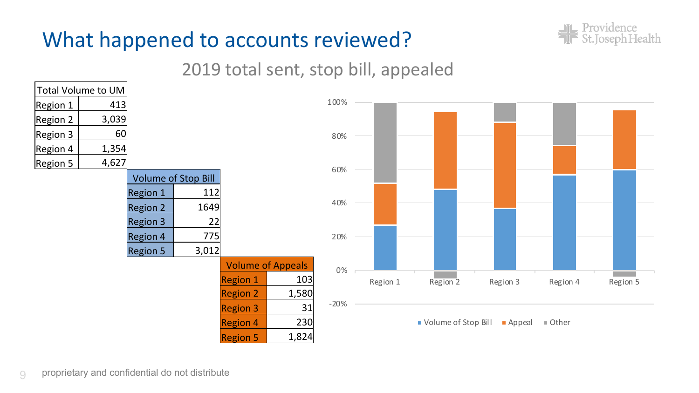### What happened to accounts reviewed?



#### 2019 total sent, stop bill, appealed

|          | Total Volume to UM |          |                     |                 |                          |        |          |                     |          |          |          |
|----------|--------------------|----------|---------------------|-----------------|--------------------------|--------|----------|---------------------|----------|----------|----------|
| Region 1 | 413                |          |                     |                 |                          | 100%   |          |                     |          |          |          |
| Region 2 | 3,039              |          |                     |                 |                          |        |          |                     |          |          |          |
| Region 3 | 60                 |          |                     |                 |                          | 80%    |          |                     |          |          |          |
| Region 4 | 1,354              |          |                     |                 |                          |        |          |                     |          |          |          |
| Region 5 | 4,627              |          |                     |                 |                          | 60%    |          |                     |          |          |          |
|          |                    |          | Volume of Stop Bill |                 |                          |        |          |                     |          |          |          |
|          |                    | Region 1 | 112                 |                 |                          |        |          |                     |          |          |          |
|          |                    | Region 2 | 1649                |                 |                          | 40%    |          |                     |          |          |          |
|          |                    | Region 3 | 22                  |                 |                          |        |          |                     |          |          |          |
|          |                    | Region 4 | 775                 |                 |                          | 20%    |          |                     |          |          |          |
|          |                    | Region 5 | 3,012               |                 |                          |        |          |                     |          |          |          |
|          |                    |          |                     |                 | <b>Volume of Appeals</b> | 0%     |          |                     |          |          |          |
|          |                    |          |                     | <b>Region 1</b> | 103                      |        | Region 1 | Region 2            | Region 3 | Region 4 | Region 5 |
|          |                    |          |                     | <b>Region 2</b> | 1,580                    |        |          |                     |          |          |          |
|          |                    |          |                     | <b>Region 3</b> | 31                       | $-20%$ |          |                     |          |          |          |
|          |                    |          |                     | <b>Region 4</b> | 230                      |        |          | Volume of Stop Bill | Appeal   | ■ Other  |          |
|          |                    |          |                     | <b>Region 5</b> | 1,824                    |        |          |                     |          |          |          |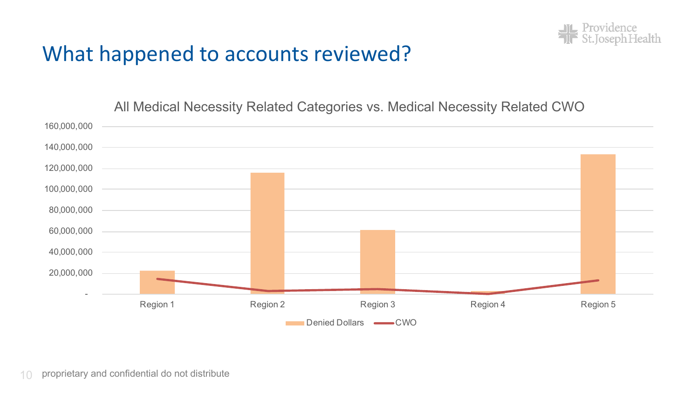

#### What happened to accounts reviewed?

All Medical Necessity Related Categories vs. Medical Necessity Related CWO

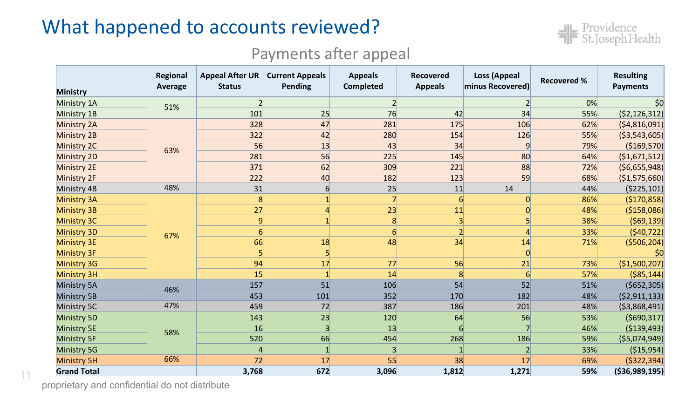#### What happened to accounts reviewed?



#### Payments after appeal

| <b>Ministry</b>    | Regional<br>Average | <b>Appeal After UR</b><br><b>Status</b> | <b>Current Appeals</b><br>Pending | <b>Appeals</b><br>Completed | <b>Recovered</b><br><b>Appeals</b> | Loss (Appeal<br>minus Recovered) | <b>Recovered %</b> | <b>Resulting</b><br><b>Payments</b> |
|--------------------|---------------------|-----------------------------------------|-----------------------------------|-----------------------------|------------------------------------|----------------------------------|--------------------|-------------------------------------|
| Ministry 1A        | 51%                 | $\overline{2}$                          |                                   | $\overline{2}$              |                                    |                                  | 0%                 | \$0                                 |
| Ministry 1B        |                     | 101                                     | 25                                | 76                          | 42                                 | 34                               | 55%                | ( \$2,126,312)                      |
| <b>Ministry 2A</b> |                     | 328                                     | 47                                | 281                         | 175                                | 106                              | 62%                | (\$4,816,091)                       |
| Ministry 2B        |                     | 322                                     | 42                                | 280                         | 154                                | 126                              | 55%                | ( \$3,543,605)                      |
| Ministry 2C        | 63%                 | 56                                      | 13                                | 43                          | 34                                 | q                                | 79%                | ( \$169,570]                        |
| <b>Ministry 2D</b> |                     | 281                                     | 56                                | 225                         | 145                                | 80                               | 64%                | ( \$1,671,512)                      |
| Ministry 2E        |                     | 371                                     | 62                                | 309                         | 221                                | 88                               | 72%                | (56,655,948)                        |
| Ministry 2F        |                     | 222                                     | 40                                | 182                         | 123                                | 59                               | 68%                | (\$1,575,660)                       |
| Ministry 4B        | 48%                 | 31                                      | 6                                 | 25                          | 11                                 | 14                               | 44%                | ( \$225, 101)                       |
| <b>Ministry 3A</b> |                     | 8                                       |                                   |                             | $6 \vert$                          | 0                                | 86%                | (\$170,858)                         |
| <b>Ministry 3B</b> |                     | 27                                      |                                   | 23                          | 11                                 | $\overline{0}$                   | 48%                | ( \$158,086)                        |
| <b>Ministry 3C</b> |                     | $\vert 9 \vert$                         |                                   | 8                           | 3 <sup>1</sup>                     | 5                                | 38%                | (569, 139)                          |
| <b>Ministry 3D</b> | 67%                 | $6 \mid$                                |                                   | $6 \overline{}$             | $\overline{2}$                     | 4                                | 33%                | (540, 722)                          |
| Ministry 3E        |                     | 66                                      | 18                                | 48                          | 34                                 | 14                               | 71%                | ( \$506, 204]                       |
| <b>Ministry 3F</b> |                     | 5                                       | $\mathsf{S}$                      |                             |                                    | 0                                |                    |                                     |
| <b>Ministry 3G</b> |                     | 94                                      | 17                                | 77                          | 56                                 | 21                               | 73%                | (\$1,500,207)                       |
| <b>Ministry 3H</b> |                     | 15                                      |                                   | 14                          | 8                                  | $6 \overline{6}$                 | 57%                | ( \$85, 144]                        |
| Ministry 5A        | 46%                 | 157                                     | 51                                | 106                         | 54                                 | 52                               | 51%                | ( \$652, 305)                       |
| Ministry 5B        |                     | 453                                     | 101                               | 352                         | 170                                | 182                              | 48%                | (52, 911, 133)                      |
| Ministry 5C        | 47%                 | 459                                     | 72                                | 387                         | 186                                | 201                              | 48%                | ( \$3,868,491)                      |
| <b>Ministry 5D</b> |                     | 143                                     | 23                                | 120                         | 64                                 | 56                               | 53%                | ( \$690, 317)                       |
| <b>Ministry 5E</b> | 58%                 | 16                                      | 3                                 | 13                          | 6                                  |                                  | 46%                | ( \$139,493)                        |
| <b>Ministry 5F</b> |                     | 520                                     | 66                                | 454                         | 268                                | 186                              | 59%                | ( \$5,074,949)                      |
| Ministry 5G        |                     | 4                                       |                                   | 3                           |                                    | $\overline{2}$                   | 33%                | ( \$15, 954)                        |
| <b>Ministry 5H</b> | 66%                 | 72                                      | 17                                | 55                          | 38                                 | 17                               | 69%                | ( \$322, 394)                       |
| <b>Grand Total</b> |                     | 3,768                                   | 672                               | 3,096                       | 1,812                              | 1,271                            | 59%                | ( \$36,989,195)                     |

proprietary and confidential do not distribute

11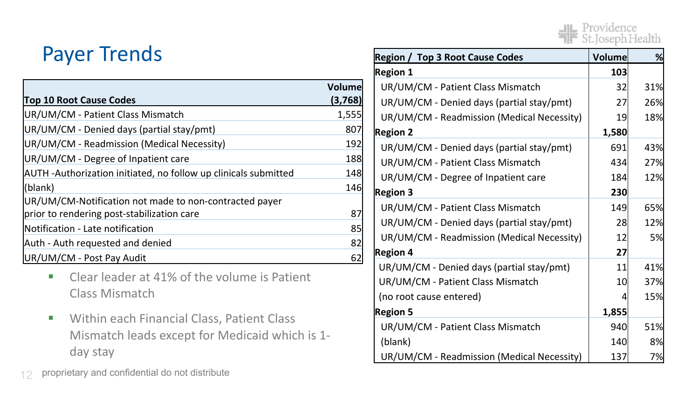### Payer Trends

| <b>Top 10 Root Cause Codes</b>                                 | Volume<br>(3,768) |
|----------------------------------------------------------------|-------------------|
| UR/UM/CM - Patient Class Mismatch                              | 1,555             |
| UR/UM/CM - Denied days (partial stay/pmt)                      | 807               |
| UR/UM/CM - Readmission (Medical Necessity)                     | 192               |
| UR/UM/CM - Degree of Inpatient care                            | 188               |
| AUTH-Authorization initiated, no follow up clinicals submitted | 148               |
| (blank)                                                        | 146               |
| UR/UM/CM-Notification not made to non-contracted payer         |                   |
| prior to rendering post-stabilization care                     | 87                |
| Notification - Late notification                               | 85                |
| Auth - Auth requested and denied                               | 82                |
| UR/UM/CM - Post Pay Audit                                      | 62                |

- Clear leader at 41% of the volume is Patient Class Mismatch
- Within each Financial Class, Patient Class Mismatch leads except for Medicaid which is 1 day stay

12 proprietary and confidential do not distribute

| <b>Region / Top 3 Root Cause Codes</b>     | <b>Volume</b> | %   |
|--------------------------------------------|---------------|-----|
| <b>Region 1</b>                            | 103           |     |
| UR/UM/CM - Patient Class Mismatch          | 32            | 31% |
| UR/UM/CM - Denied days (partial stay/pmt)  | 27            | 26% |
| UR/UM/CM - Readmission (Medical Necessity) | 19            | 18% |
| <b>Region 2</b>                            | 1,580         |     |
| UR/UM/CM - Denied days (partial stay/pmt)  | 691           | 43% |
| UR/UM/CM - Patient Class Mismatch          | 434           | 27% |
| UR/UM/CM - Degree of Inpatient care        | 184           | 12% |
| <b>Region 3</b>                            | 230           |     |
| UR/UM/CM - Patient Class Mismatch          | 149           | 65% |
| UR/UM/CM - Denied days (partial stay/pmt)  | 28            | 12% |
| UR/UM/CM - Readmission (Medical Necessity) | 12            | 5%  |
| <b>Region 4</b>                            | 27            |     |
| UR/UM/CM - Denied days (partial stay/pmt)  | 11            | 41% |
| UR/UM/CM - Patient Class Mismatch          | 10            | 37% |
| (no root cause entered)                    | 4             | 15% |
| <b>Region 5</b>                            | 1,855         |     |
| UR/UM/CM - Patient Class Mismatch          | 940           | 51% |
| (blank)                                    | 140           | 8%  |
| UR/UM/CM - Readmission (Medical Necessity) | 137           | 7%  |

**JL** Providence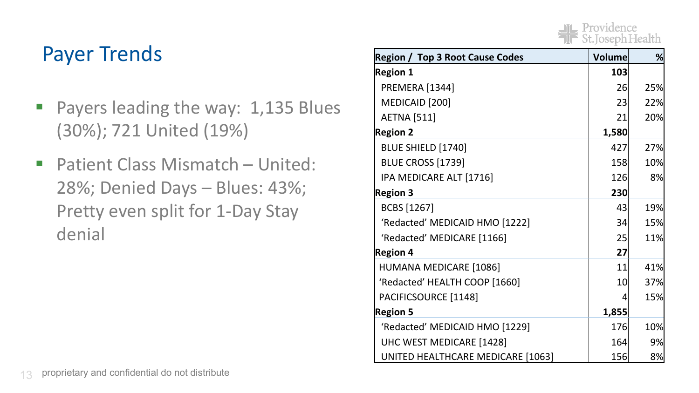### **JIL** Providence

#### **Payer Trends**

- Payers leading the way: 1,135 Blues (30%); 721 United (19%)
- Patient Class Mismatch United: 28%; Denied Days – Blues: 43%; Pretty even split for 1-Day Stay denial

| <b>Region / Top 3 Root Cause Codes</b> | Volume | ℅   |
|----------------------------------------|--------|-----|
| <b>Region 1</b>                        | 103    |     |
| PREMERA [1344]                         | 26     | 25% |
| MEDICAID [200]                         | 23     | 22% |
| <b>AETNA</b> [511]                     | 21     | 20% |
| <b>Region 2</b>                        | 1,580  |     |
| BLUE SHIELD [1740]                     | 427    | 27% |
| <b>BLUE CROSS [1739]</b>               | 158    | 10% |
| IPA MEDICARE ALT [1716]                | 126    | 8%  |
| <b>Region 3</b>                        | 230    |     |
| BCBS [1267]                            | 43     | 19% |
| 'Redacted' MEDICAID HMO [1222]         | 34     | 15% |
| 'Redacted' MEDICARE [1166]             | 25     | 11% |
| <b>Region 4</b>                        | 27     |     |
| HUMANA MEDICARE [1086]                 | 11     | 41% |
| 'Redacted' HEALTH COOP [1660]          | 10     | 37% |
| PACIFICSOURCE [1148]                   | 4      | 15% |
| <b>Region 5</b>                        | 1,855  |     |
| 'Redacted' MEDICAID HMO [1229]         | 176    | 10% |
| UHC WEST MEDICARE [1428]               | 164    | 9%  |
| UNITED HEALTHCARE MEDICARE [1063]      | 156    | 8%  |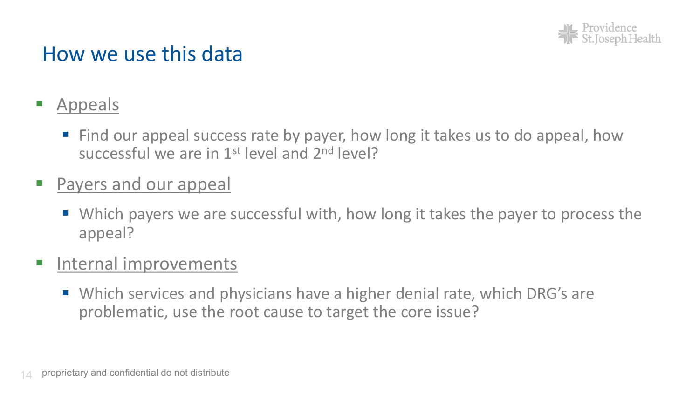

#### How we use this data

- § Appeals
	- Find our appeal success rate by payer, how long it takes us to do appeal, how successful we are in 1st level and 2nd level?
- § Payers and our appeal
	- Which payers we are successful with, how long it takes the payer to process the appeal?
- Internal improvements
	- Which services and physicians have a higher denial rate, which DRG's are problematic, use the root cause to target the core issue?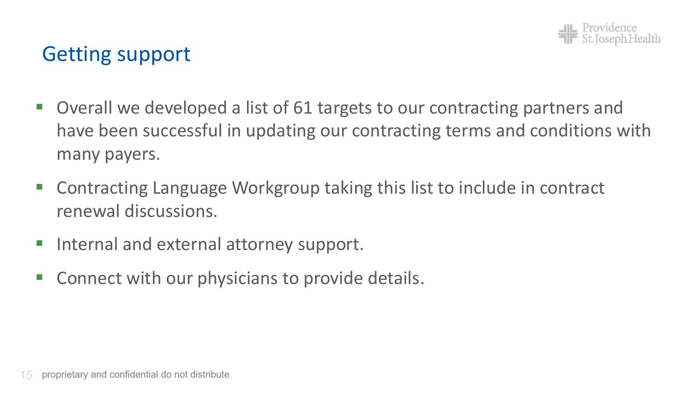

#### Getting support

- § Overall we developed a list of 61 targets to our contracting partners and have been successful in updating our contracting terms and conditions with many payers.
- § Contracting Language Workgroup taking this list to include in contract renewal discussions.
- Internal and external attorney support.
- § Connect with our physicians to provide details.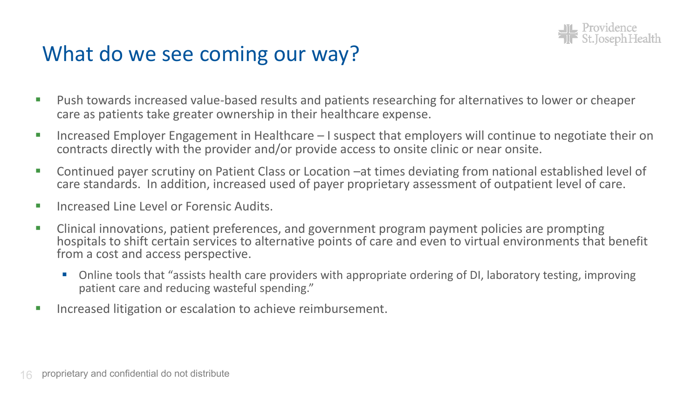

#### What do we see coming our way?

- Push towards increased value-based results and patients researching for alternatives to lower or cheaper care as patients take greater ownership in their healthcare expense.
- Increased Employer Engagement in Healthcare I suspect that employers will continue to negotiate their on contracts directly with the provider and/or provide access to onsite clinic or near onsite.
- Continued payer scrutiny on Patient Class or Location –at times deviating from national established level of care standards. In addition, increased used of payer proprietary assessment of outpatient level of care.
- Increased Line Level or Forensic Audits.
- Clinical innovations, patient preferences, and government program payment policies are prompting hospitals to shift certain services to alternative points of care and even to virtual environments that benefit from a cost and access perspective.
	- Online tools that "assists health care providers with appropriate ordering of DI, laboratory testing, improving patient care and reducing wasteful spending."
- Increased litigation or escalation to achieve reimbursement.